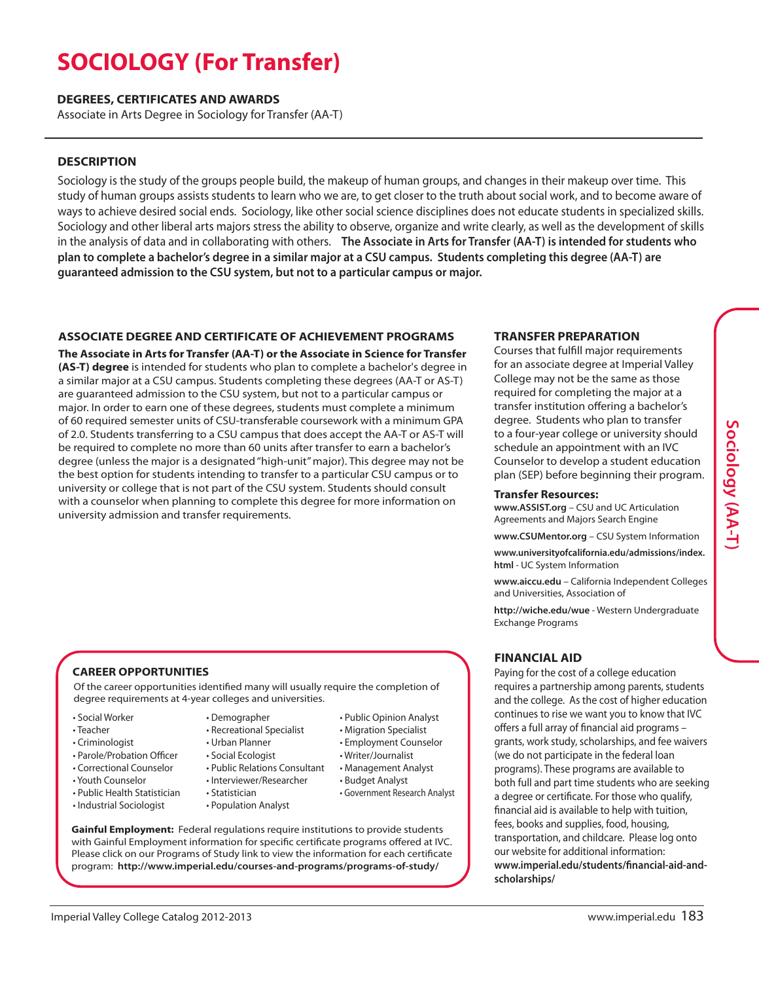# **SOCIOLOGY (For Transfer)**

#### **DEGREES, CERTIFICATES AND AWARDS**

Associate in Arts Degree in Sociology for Transfer (AA-T)

## **DESCRIPTION**

Sociology is the study of the groups people build, the makeup of human groups, and changes in their makeup over time. This study of human groups assists students to learn who we are, to get closer to the truth about social work, and to become aware of ways to achieve desired social ends. Sociology, like other social science disciplines does not educate students in specialized skills. Sociology and other liberal arts majors stress the ability to observe, organize and write clearly, as well as the development of skills in the analysis of data and in collaborating with others. **The Associate in Arts for Transfer (AA-T) is intended for students who** plan to complete a bachelor's degree in a similar major at a CSU campus. Students completing this degree (AA-T) are **guaranteed admission to the CSU system, but not to a particular campus or major.**

## **ASSOCIATE DEGREE AND CERTIFICATE OF ACHIEVEMENT PROGRAMS**

**The Associate in Arts for Transfer (AA-T) or the Associate in Science for Transfer (AS-T) degree** is intended for students who plan to complete a bachelor's degree in a similar major at a CSU campus. Students completing these degrees (AA-T or AS-T) are guaranteed admission to the CSU system, but not to a particular campus or major. In order to earn one of these degrees, students must complete a minimum of 60 required semester units of CSU-transferable coursework with a minimum GPA of 2.0. Students transferring to a CSU campus that does accept the AA-T or AS-T will be required to complete no more than 60 units after transfer to earn a bachelor's degree (unless the major is a designated"high-unit"major). This degree may not be the best option for students intending to transfer to a particular CSU campus or to university or college that is not part of the CSU system. Students should consult with a counselor when planning to complete this degree for more information on university admission and transfer requirements.

### **TRANSFER PREPARATION**

Courses that fulfill major requirements for an associate degree at Imperial Valley College may not be the same as those required for completing the major at a transfer institution offering a bachelor's degree. Students who plan to transfer to a four-year college or university should schedule an appointment with an IVC Counselor to develop a student education plan (SEP) before beginning their program.

#### **Transfer Resources:**

**www.ASSIST.org** – CSU and UC Articulation Agreements and Majors Search Engine

**www.CSUMentor.org** – CSU System Information

**www.universityofcalifornia.edu/admissions/index. html** - UC System Information

**www.aiccu.edu** – California Independent Colleges and Universities, Association of

**http://wiche.edu/wue** - Western Undergraduate Exchange Programs

# **FINANCIAL AID**

Paying for the cost of a college education requires a partnership among parents, students and the college. As the cost of higher education continues to rise we want you to know that IVC offers a full array of financial aid programs – grants, work study, scholarships, and fee waivers (we do not participate in the federal loan programs). These programs are available to both full and part time students who are seeking a degree or certificate. For those who qualify, financial aid is available to help with tuition, fees, books and supplies, food, housing, transportation, and childcare. Please log onto our website for additional information: **www.imperial.edu/students/financial-aid-andscholarships/**

**S o**

**ciolo g y**

# **CAREER OPPORTUNITIES**

Of the career opportunities identified many will usually require the completion of degree requirements at 4-year colleges and universities.

- Social Worker
- Teacher
- Criminologist
- Parole/Probation Officer
- Correctional Counselor
- Youth Counselor
- Public Health Statistician
- Industrial Sociologist
- Demographer • Recreational Specialist
- Urban Planner
- Social Ecologist
- Public Relations Consultant
- Interviewer/Researcher
	- Statistician
	- Population Analyst
- Writer/Journalist • Management Analyst • Budget Analyst
	- Government Research Analyst

• Public Opinion Analyst • Migration Specialist • Employment Counselor

**Gainful Employment:** Federal regulations require institutions to provide students with Gainful Employment information for specific certificate programs offered at IVC. Please click on our Programs of Study link to view the information for each certificate program: **http://www.imperial.edu/courses-and-programs/programs-of-study/**